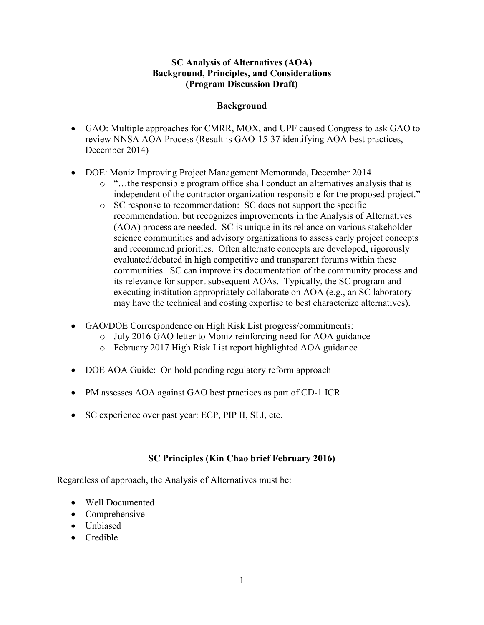## **SC Analysis of Alternatives (AOA) Background, Principles, and Considerations (Program Discussion Draft)**

## **Background**

- GAO: Multiple approaches for CMRR, MOX, and UPF caused Congress to ask GAO to review NNSA AOA Process (Result is GAO-15-37 identifying AOA best practices, December 2014)
- DOE: Moniz Improving Project Management Memoranda, December 2014
	- o "…the responsible program office shall conduct an alternatives analysis that is independent of the contractor organization responsible for the proposed project."
	- o SC response to recommendation: SC does not support the specific recommendation, but recognizes improvements in the Analysis of Alternatives (AOA) process are needed. SC is unique in its reliance on various stakeholder science communities and advisory organizations to assess early project concepts and recommend priorities. Often alternate concepts are developed, rigorously evaluated/debated in high competitive and transparent forums within these communities. SC can improve its documentation of the community process and its relevance for support subsequent AOAs. Typically, the SC program and executing institution appropriately collaborate on AOA (e.g., an SC laboratory may have the technical and costing expertise to best characterize alternatives).
- GAO/DOE Correspondence on High Risk List progress/commitments:
	- o July 2016 GAO letter to Moniz reinforcing need for AOA guidance
	- o February 2017 High Risk List report highlighted AOA guidance
- DOE AOA Guide: On hold pending regulatory reform approach
- PM assesses AOA against GAO best practices as part of CD-1 ICR
- SC experience over past year: ECP, PIP II, SLI, etc.

## **SC Principles (Kin Chao brief February 2016)**

Regardless of approach, the Analysis of Alternatives must be:

- Well Documented
- Comprehensive
- Unbiased
- Credible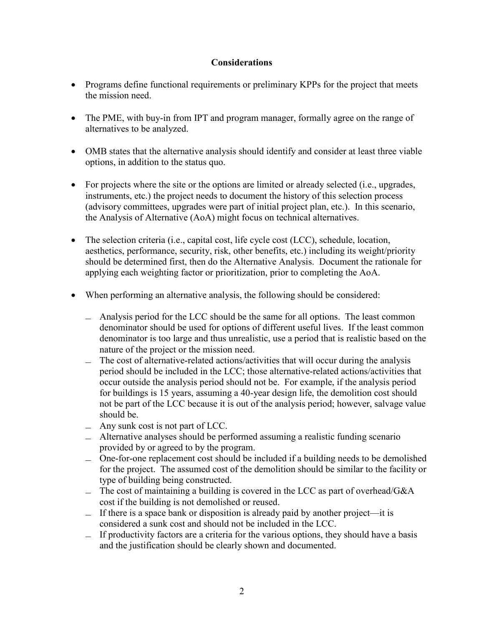## **Considerations**

- Programs define functional requirements or preliminary KPPs for the project that meets the mission need.
- The PME, with buy-in from IPT and program manager, formally agree on the range of alternatives to be analyzed.
- OMB states that the alternative analysis should identify and consider at least three viable options, in addition to the status quo.
- For projects where the site or the options are limited or already selected (i.e., upgrades, instruments, etc.) the project needs to document the history of this selection process (advisory committees, upgrades were part of initial project plan, etc.). In this scenario, the Analysis of Alternative (AoA) might focus on technical alternatives.
- The selection criteria (i.e., capital cost, life cycle cost  $(ICC)$ , schedule, location, aesthetics, performance, security, risk, other benefits, etc.) including its weight/priority should be determined first, then do the Alternative Analysis. Document the rationale for applying each weighting factor or prioritization, prior to completing the AoA.
- When performing an alternative analysis, the following should be considered:
	- ̶ Analysis period for the LCC should be the same for all options. The least common denominator should be used for options of different useful lives. If the least common denominator is too large and thus unrealistic, use a period that is realistic based on the nature of the project or the mission need.
	- ̶ The cost of alternative-related actions/activities that will occur during the analysis period should be included in the LCC; those alternative-related actions/activities that occur outside the analysis period should not be. For example, if the analysis period for buildings is 15 years, assuming a 40-year design life, the demolition cost should not be part of the LCC because it is out of the analysis period; however, salvage value should be.
	- $-$  Any sunk cost is not part of LCC.
	- ̶ Alternative analyses should be performed assuming a realistic funding scenario provided by or agreed to by the program.
	- ̶ One-for-one replacement cost should be included if a building needs to be demolished for the project. The assumed cost of the demolition should be similar to the facility or type of building being constructed.
	- $\equiv$  The cost of maintaining a building is covered in the LCC as part of overhead/G&A cost if the building is not demolished or reused.
	- ̶ If there is a space bank or disposition is already paid by another project—it is considered a sunk cost and should not be included in the LCC.
	- $\overline{\phantom{a}}$  If productivity factors are a criteria for the various options, they should have a basis and the justification should be clearly shown and documented.